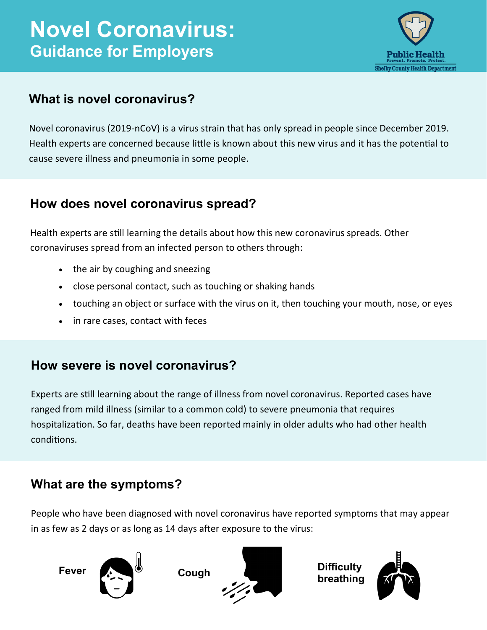# **Novel Coronavirus: Guidance for Employers**



### **What is novel coronavirus?**

Novel coronavirus (2019-nCoV) is a virus strain that has only spread in people since December 2019. Health experts are concerned because little is known about this new virus and it has the potential to cause severe illness and pneumonia in some people.

### **How does novel coronavirus spread?**

Health experts are still learning the details about how this new coronavirus spreads. Other coronaviruses spread from an infected person to others through:

- the air by coughing and sneezing
- close personal contact, such as touching or shaking hands
- touching an object or surface with the virus on it, then touching your mouth, nose, or eyes
- in rare cases, contact with feces

### **How severe is novel coronavirus?**

Experts are still learning about the range of illness from novel coronavirus. Reported cases have ranged from mild illness (similar to a common cold) to severe pneumonia that requires hospitalization. So far, deaths have been reported mainly in older adults who had other health conditions.

## **What are the symptoms?**

People who have been diagnosed with novel coronavirus have reported symptoms that may appear in as few as 2 days or as long as 14 days after exposure to the virus:





**breathing**